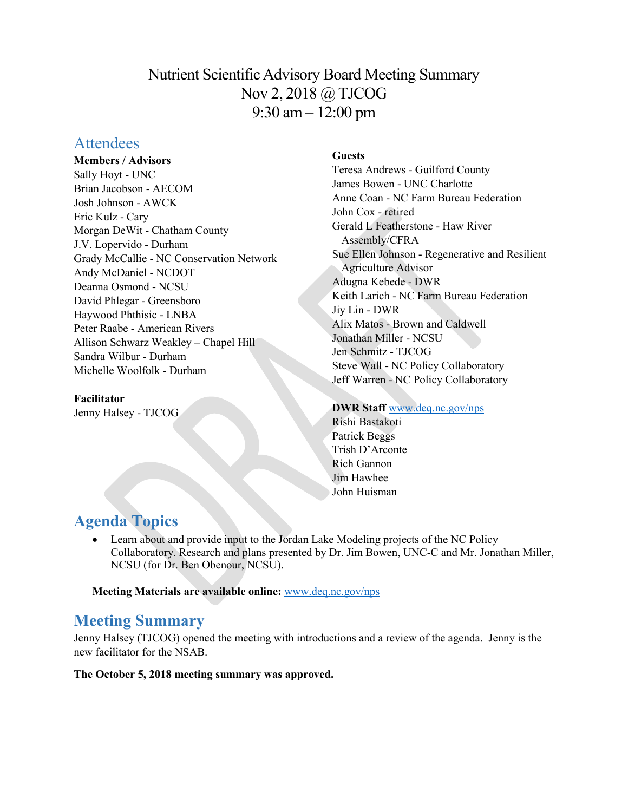# Nutrient Scientific Advisory Board Meeting Summary Nov 2, 2018 @ TJCOG 9:30 am – 12:00 pm

# **Attendees**

**Members / Advisors**

Sally Hoyt - UNC Brian Jacobson - AECOM Josh Johnson - AWCK Eric Kulz - Cary Morgan DeWit - Chatham County J.V. Lopervido - Durham Grady McCallie - NC Conservation Network Andy McDaniel - NCDOT Deanna Osmond - NCSU David Phlegar - Greensboro Haywood Phthisic - LNBA Peter Raabe - American Rivers Allison Schwarz Weakley – Chapel Hill Sandra Wilbur - Durham Michelle Woolfolk - Durham

### **Facilitator**

Jenny Halsey - TJCOG

## **Guests**

Teresa Andrews - Guilford County James Bowen - UNC Charlotte Anne Coan - NC Farm Bureau Federation John Cox - retired Gerald L Featherstone - Haw River Assembly/CFRA Sue Ellen Johnson - Regenerative and Resilient Agriculture Advisor Adugna Kebede - DWR Keith Larich - NC Farm Bureau Federation Jiy Lin - DWR Alix Matos - Brown and Caldwell Jonathan Miller - NCSU Jen Schmitz - TJCOG Steve Wall - NC Policy Collaboratory Jeff Warren - NC Policy Collaboratory

**DWR Staff** [www.deq.nc.gov/nps](http://www.deq.nc.gov/nps) Rishi Bastakoti Patrick Beggs Trish D'Arconte Rich Gannon

Jim Hawhee John Huisman

# **Agenda Topics**

• Learn about and provide input to the Jordan Lake Modeling projects of the NC Policy Collaboratory. Research and plans presented by Dr. Jim Bowen, UNC-C and Mr. Jonathan Miller, NCSU (for Dr. Ben Obenour, NCSU).

**Meeting Materials are available online:** [www.deq.nc.gov/nps](https://deq.nc.gov/about/divisions/water-resources/planning/nonpoint-source-management/nutrient-scientific-advisory-board/meeting-documents)

# **Meeting Summary**

Jenny Halsey (TJCOG) opened the meeting with introductions and a review of the agenda. Jenny is the new facilitator for the NSAB.

**The October 5, 2018 meeting summary was approved.**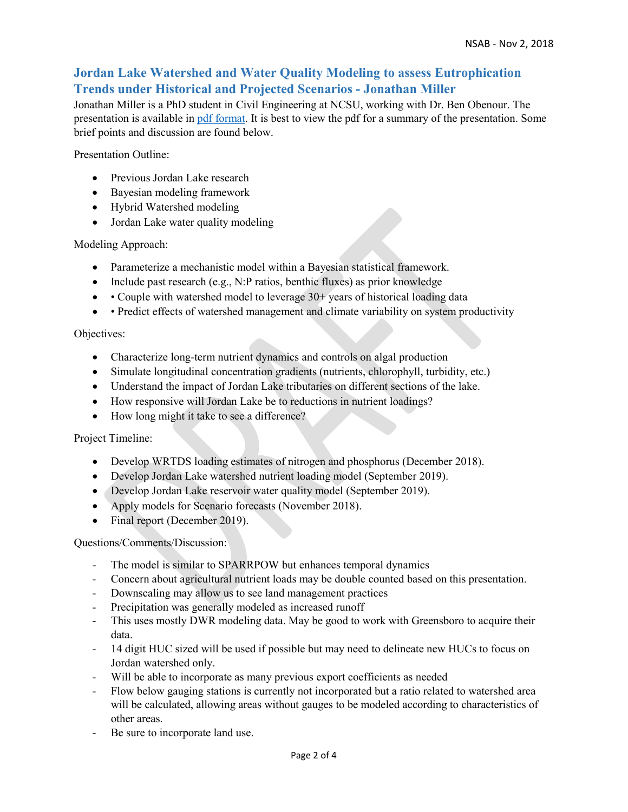## **Jordan Lake Watershed and Water Quality Modeling to assess Eutrophication Trends under Historical and Projected Scenarios - Jonathan Miller**

Jonathan Miller is a PhD student in Civil Engineering at NCSU, working with Dr. Ben Obenour. The presentation is available in [pdf format.](https://files.nc.gov/ncdeq/Water%20Quality/Planning/NPU/Nutrient%20Scientific%20Advisory%20Board/2018.11.02-Jonathan-Miller-modeling.pdf) It is best to view the pdf for a summary of the presentation. Some brief points and discussion are found below.

Presentation Outline:

- Previous Jordan Lake research
- Bayesian modeling framework
- Hybrid Watershed modeling
- Jordan Lake water quality modeling

Modeling Approach:

- Parameterize a mechanistic model within a Bayesian statistical framework.
- Include past research (e.g., N:P ratios, benthic fluxes) as prior knowledge
- Couple with watershed model to leverage 30+ years of historical loading data
- • Predict effects of watershed management and climate variability on system productivity

Objectives:

- Characterize long-term nutrient dynamics and controls on algal production
- Simulate longitudinal concentration gradients (nutrients, chlorophyll, turbidity, etc.)
- Understand the impact of Jordan Lake tributaries on different sections of the lake.
- How responsive will Jordan Lake be to reductions in nutrient loadings?
- How long might it take to see a difference?

Project Timeline:

- Develop WRTDS loading estimates of nitrogen and phosphorus (December 2018).
- Develop Jordan Lake watershed nutrient loading model (September 2019).
- Develop Jordan Lake reservoir water quality model (September 2019).
- Apply models for Scenario forecasts (November 2018).
- Final report (December 2019).

Questions/Comments/Discussion:

- The model is similar to SPARRPOW but enhances temporal dynamics
- Concern about agricultural nutrient loads may be double counted based on this presentation.
- Downscaling may allow us to see land management practices
- Precipitation was generally modeled as increased runoff
- This uses mostly DWR modeling data. May be good to work with Greensboro to acquire their data.
- 14 digit HUC sized will be used if possible but may need to delineate new HUCs to focus on Jordan watershed only.
- Will be able to incorporate as many previous export coefficients as needed
- Flow below gauging stations is currently not incorporated but a ratio related to watershed area will be calculated, allowing areas without gauges to be modeled according to characteristics of other areas.
- Be sure to incorporate land use.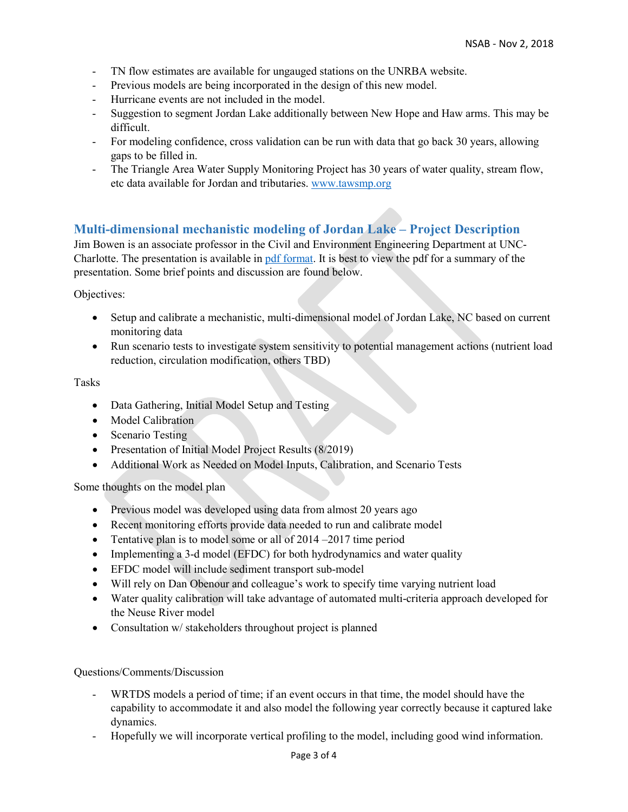- TN flow estimates are available for ungauged stations on the UNRBA website.
- Previous models are being incorporated in the design of this new model.
- Hurricane events are not included in the model.
- Suggestion to segment Jordan Lake additionally between New Hope and Haw arms. This may be difficult.
- For modeling confidence, cross validation can be run with data that go back 30 years, allowing gaps to be filled in.
- The Triangle Area Water Supply Monitoring Project has 30 years of water quality, stream flow, etc data available for Jordan and tributaries. [www.tawsmp.org](http://www.tawsmp.org/)

### **Multi-dimensional mechanistic modeling of Jordan Lake – Project Description**

Jim Bowen is an associate professor in the Civil and Environment Engineering Department at UNC-Charlotte. The presentation is available in [pdf format.](https://files.nc.gov/ncdeq/Water%20Quality/Planning/NPU/Nutrient%20Scientific%20Advisory%20Board/2018.11.02-James-Bowen-modeling.pdf) It is best to view the pdf for a summary of the presentation. Some brief points and discussion are found below.

Objectives:

- Setup and calibrate a mechanistic, multi-dimensional model of Jordan Lake, NC based on current monitoring data
- Run scenario tests to investigate system sensitivity to potential management actions (nutrient load reduction, circulation modification, others TBD)

#### Tasks

- Data Gathering, Initial Model Setup and Testing
- Model Calibration
- Scenario Testing
- Presentation of Initial Model Project Results (8/2019)
- Additional Work as Needed on Model Inputs, Calibration, and Scenario Tests

Some thoughts on the model plan

- Previous model was developed using data from almost 20 years ago
- Recent monitoring efforts provide data needed to run and calibrate model
- Tentative plan is to model some or all of 2014 2017 time period
- Implementing a 3-d model (EFDC) for both hydrodynamics and water quality
- EFDC model will include sediment transport sub-model
- Will rely on Dan Obenour and colleague's work to specify time varying nutrient load
- Water quality calibration will take advantage of automated multi-criteria approach developed for the Neuse River model
- Consultation w/ stakeholders throughout project is planned

#### Questions/Comments/Discussion

- WRTDS models a period of time; if an event occurs in that time, the model should have the capability to accommodate it and also model the following year correctly because it captured lake dynamics.
- Hopefully we will incorporate vertical profiling to the model, including good wind information.